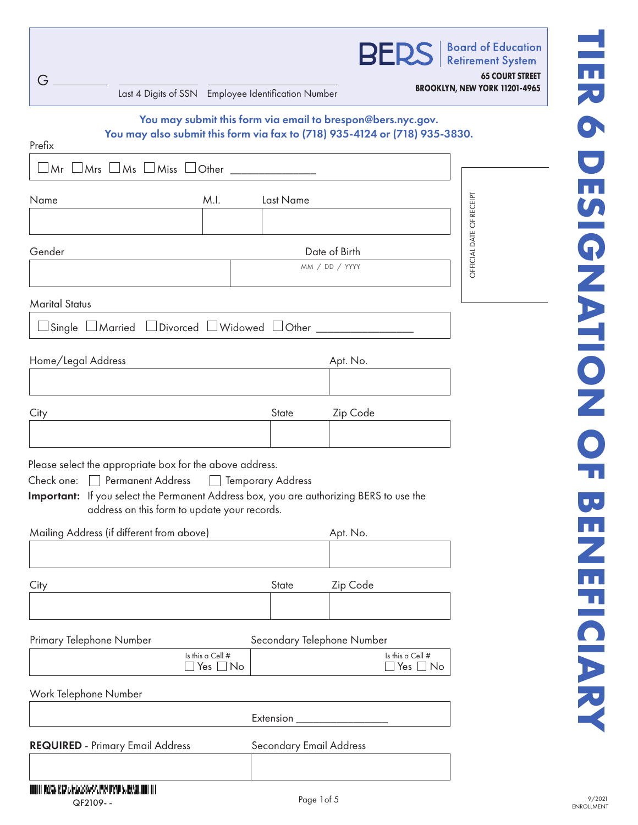| G<br>Last 4 Digits of SSN Employee Identification Number                                                                                                                                                                                                                                             |                                 |                                                                           | <b>BERS</b> Board of Education<br><b>65 COURT STREET</b><br>BROOKLYN, NEW YORK 11201-4965 |
|------------------------------------------------------------------------------------------------------------------------------------------------------------------------------------------------------------------------------------------------------------------------------------------------------|---------------------------------|---------------------------------------------------------------------------|-------------------------------------------------------------------------------------------|
| You may also submit this form via fax to (718) 935-4124 or (718) 935-3830.<br>Prefix<br>$\Box$ Mr $\Box$ Mrs $\Box$ Ms $\Box$ Miss $\Box$ Other $\_\_\_\_\_\_\_\_\_\_\_\_\_\_\_\_\_\_\_\_\_$                                                                                                         |                                 | You may submit this form via email to brespon@bers.nyc.gov.               |                                                                                           |
| M.I.<br>Name                                                                                                                                                                                                                                                                                         | Last Name                       |                                                                           |                                                                                           |
| Gender                                                                                                                                                                                                                                                                                               | Date of Birth<br>MM / DD / YYYY | OFFICIAL DATE OF RECEIPT                                                  |                                                                                           |
| <b>Marital Status</b><br>□ Single □ Married □ Divorced □ Widowed □ Other ________________________________                                                                                                                                                                                            |                                 |                                                                           |                                                                                           |
| Home/Legal Address                                                                                                                                                                                                                                                                                   |                                 | Apt. No.                                                                  |                                                                                           |
| City                                                                                                                                                                                                                                                                                                 | State                           | Zip Code                                                                  |                                                                                           |
| Please select the appropriate box for the above address.<br>Check one: Permanent Address   Temporary Address<br>Important: If you select the Permanent Address box, you are authorizing BERS to use the<br>address on this form to update your records.<br>Mailing Address (if different from above) |                                 |                                                                           |                                                                                           |
|                                                                                                                                                                                                                                                                                                      |                                 | Apt. No.                                                                  |                                                                                           |
| City                                                                                                                                                                                                                                                                                                 | State                           | Zip Code                                                                  |                                                                                           |
| Primary Telephone Number<br>Is this a Cell #<br>$\Box$ Yes $\Box$ No                                                                                                                                                                                                                                 |                                 | Secondary Telephone Number<br>Is this a Cell #<br>$\exists$ Yes $\Box$ No |                                                                                           |
| Work Telephone Number                                                                                                                                                                                                                                                                                |                                 | Extension ___________________                                             |                                                                                           |
| <b>REQUIRED</b> - Primary Email Address                                                                                                                                                                                                                                                              | Secondary Email Address         |                                                                           |                                                                                           |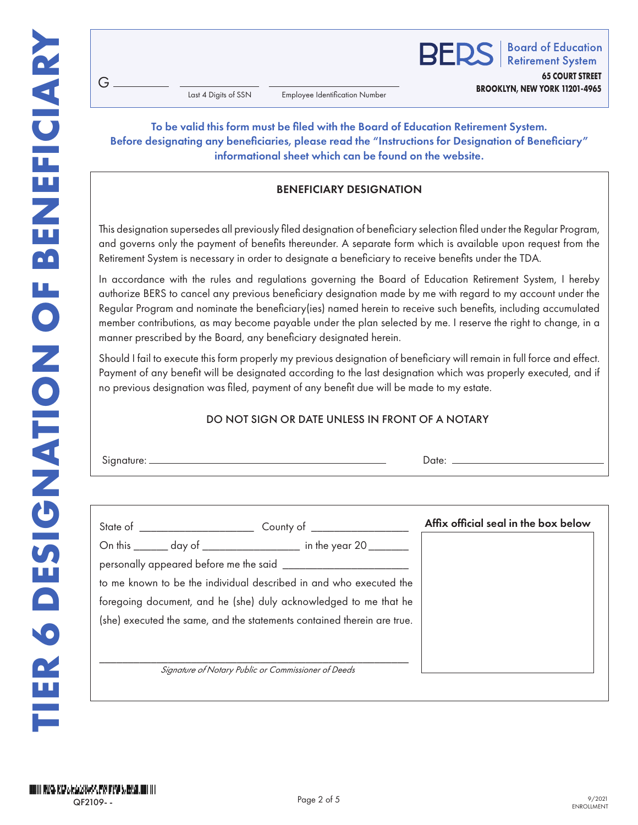**RFDS** 

**Board of Education Retirement System 65 COURT STREET**

**BROOKLYN, NEW YORK 11201-4965**

Last 4 Digits of SSN

Employee Identification Number

## To be valid this form must be filed with the Board of Education Retirement System. Before designating any beneficiaries, please read the "Instructions for Designation of Beneficiary" informational sheet which can be found on the website.

# BENEFICIARY DESIGNATION

This designation supersedes all previously filed designation of beneficiary selection filed under the Regular Program, and governs only the payment of benefits thereunder. A separate form which is available upon request from the Retirement System is necessary in order to designate a beneficiary to receive benefits under the TDA.

In accordance with the rules and regulations governing the Board of Education Retirement System, I hereby authorize BERS to cancel any previous beneficiary designation made by me with regard to my account under the Regular Program and nominate the beneficiary(ies) named herein to receive such benefits, including accumulated member contributions, as may become payable under the plan selected by me. I reserve the right to change, in a manner prescribed by the Board, any beneficiary designated herein.

Should I fail to execute this form properly my previous designation of beneficiary will remain in full force and effect. Payment of any benefit will be designated according to the last designation which was properly executed, and if no previous designation was filed, payment of any benefit due will be made to my estate.

## DO NOT SIGN OR DATE UNLESS IN FRONT OF A NOTARY

| Signature: |  |
|------------|--|
|            |  |

 $G$ .

| State of ______________________ | County of $\_\_$                                                        | Affix official seal in the box below |
|---------------------------------|-------------------------------------------------------------------------|--------------------------------------|
|                                 | On this _______ day of _________________ in the year 20 _______         |                                      |
|                                 |                                                                         |                                      |
|                                 | to me known to be the individual described in and who executed the      |                                      |
|                                 | foregoing document, and he (she) duly acknowledged to me that he        |                                      |
|                                 | (she) executed the same, and the statements contained therein are true. |                                      |
|                                 |                                                                         |                                      |
|                                 |                                                                         |                                      |
|                                 | Signature of Notary Public or Commissioner of Deeds                     |                                      |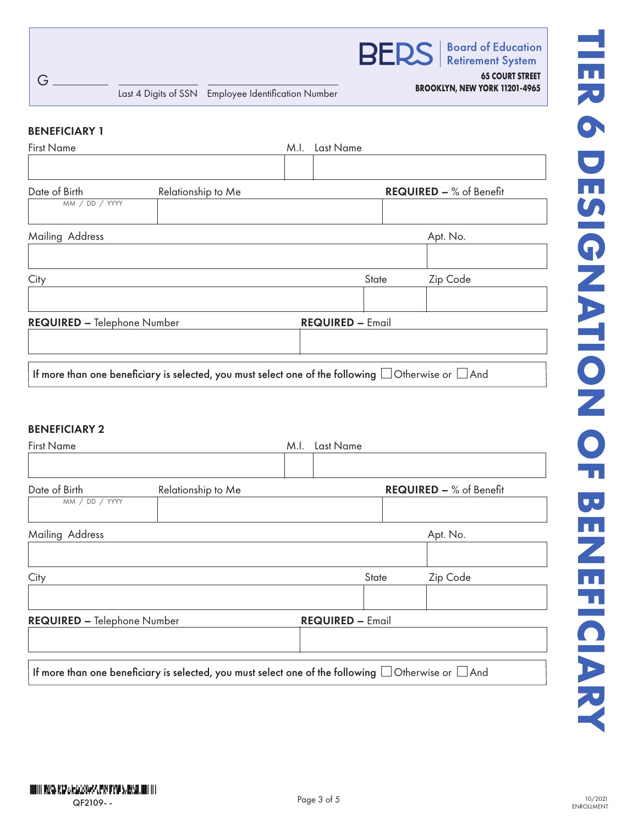

**Retirement System** 

**65 COURT STREET**

#### BENEFICIARY 1

G

| <b>First Name</b>                  |                                                                                                               | M.I. | Last Name               |                         |
|------------------------------------|---------------------------------------------------------------------------------------------------------------|------|-------------------------|-------------------------|
|                                    |                                                                                                               |      |                         |                         |
| Date of Birth                      | Relationship to Me                                                                                            |      |                         | REQUIRED - % of Benefit |
| MM / DD / YYYY                     |                                                                                                               |      |                         |                         |
| Mailing Address                    |                                                                                                               |      |                         | Apt. No.                |
|                                    |                                                                                                               |      |                         |                         |
| City                               |                                                                                                               |      | State                   | Zip Code                |
|                                    |                                                                                                               |      |                         |                         |
| <b>REQUIRED - Telephone Number</b> |                                                                                                               |      | <b>REQUIRED - Email</b> |                         |
|                                    |                                                                                                               |      |                         |                         |
|                                    |                                                                                                               |      |                         |                         |
|                                    | If more than one beneficiary is selected, you must select one of the following $\Box$ Otherwise or $\Box$ And |      |                         |                         |

## BENEFICIARY 2

| <b>First Name</b>                  |                                                                                                               | M.I. | Last Name               |       |                                |
|------------------------------------|---------------------------------------------------------------------------------------------------------------|------|-------------------------|-------|--------------------------------|
| Date of Birth<br>MM / DD / YYYY    | Relationship to Me                                                                                            |      |                         |       | <b>REQUIRED - % of Benefit</b> |
| Mailing Address                    |                                                                                                               |      |                         |       | Apt. No.                       |
| City                               |                                                                                                               |      |                         | State | Zip Code                       |
| <b>REQUIRED - Telephone Number</b> |                                                                                                               |      | <b>REQUIRED - Email</b> |       |                                |
|                                    | If more than one beneficiary is selected, you must select one of the following $\Box$ Otherwise or $\Box$ And |      |                         |       |                                |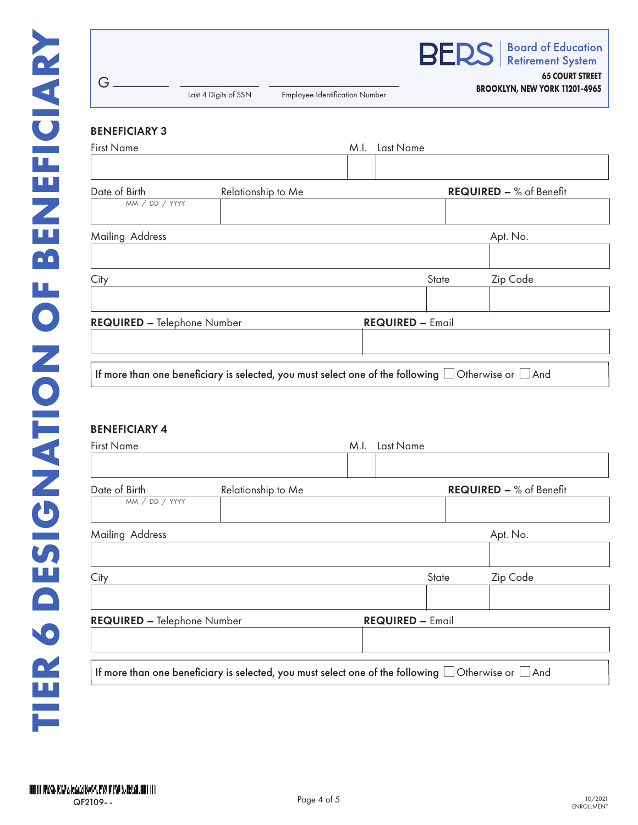| G                                                                                                             | Last 4 Digits of SSN | <b>Employee Identification Number</b> |      |                         |       | <b>BERS</b>   Board of Education<br><b>65 COURT STREET</b><br>BROOKLYN, NEW YORK 11201-4965 |
|---------------------------------------------------------------------------------------------------------------|----------------------|---------------------------------------|------|-------------------------|-------|---------------------------------------------------------------------------------------------|
| <b>BENEFICIARY 3</b>                                                                                          |                      |                                       |      |                         |       |                                                                                             |
| <b>First Name</b>                                                                                             |                      |                                       | M.I. | Last Name               |       |                                                                                             |
| Date of Birth<br>MM / DD / YYYY                                                                               | Relationship to Me   |                                       |      |                         |       | <b>REQUIRED - % of Benefit</b>                                                              |
| Mailing Address                                                                                               |                      |                                       |      |                         |       | Apt. No.                                                                                    |
| City                                                                                                          |                      |                                       |      |                         | State | Zip Code                                                                                    |
| REQUIRED - Telephone Number                                                                                   |                      |                                       |      | <b>REQUIRED - Email</b> |       |                                                                                             |
| If more than one beneficiary is selected, you must select one of the following $\Box$ Otherwise or $\Box$ And |                      |                                       |      |                         |       |                                                                                             |
| <b>DENIEEICIA DV A</b>                                                                                        |                      |                                       |      |                         |       |                                                                                             |

#### BENEFICIARY 4

| <b>First Name</b>                  |                                                                                                               | Last Name<br>M.I. |                         |                         |
|------------------------------------|---------------------------------------------------------------------------------------------------------------|-------------------|-------------------------|-------------------------|
|                                    |                                                                                                               |                   |                         |                         |
| Date of Birth<br>MM / DD / YYYY    | Relationship to Me                                                                                            |                   |                         | REQUIRED - % of Benefit |
|                                    |                                                                                                               |                   |                         |                         |
| Mailing Address                    |                                                                                                               |                   |                         | Apt. No.                |
|                                    |                                                                                                               |                   |                         |                         |
| City                               |                                                                                                               |                   | State                   | Zip Code                |
|                                    |                                                                                                               |                   |                         |                         |
| <b>REQUIRED - Telephone Number</b> |                                                                                                               |                   | <b>REQUIRED - Email</b> |                         |
|                                    |                                                                                                               |                   |                         |                         |
|                                    | If more than one beneficiary is selected, you must select one of the following $\Box$ Otherwise or $\Box$ And |                   |                         |                         |